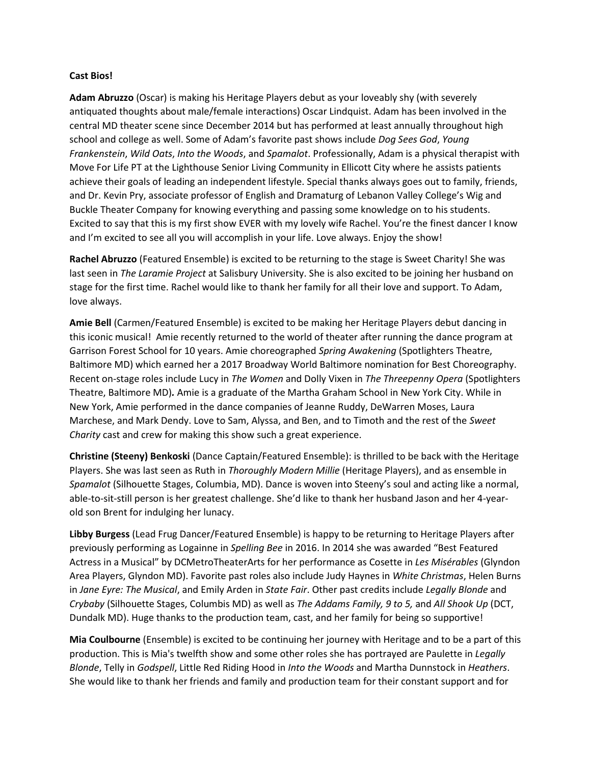## **Cast Bios!**

**Adam Abruzzo** (Oscar) is making his Heritage Players debut as your loveably shy (with severely antiquated thoughts about male/female interactions) Oscar Lindquist. Adam has been involved in the central MD theater scene since December 2014 but has performed at least annually throughout high school and college as well. Some of Adam's favorite past shows include *Dog Sees God*, *Young Frankenstein*, *Wild Oats*, *Into the Woods*, and *Spamalot*. Professionally, Adam is a physical therapist with Move For Life PT at the Lighthouse Senior Living Community in Ellicott City where he assists patients achieve their goals of leading an independent lifestyle. Special thanks always goes out to family, friends, and Dr. Kevin Pry, associate professor of English and Dramaturg of Lebanon Valley College's Wig and Buckle Theater Company for knowing everything and passing some knowledge on to his students. Excited to say that this is my first show EVER with my lovely wife Rachel. You're the finest dancer I know and I'm excited to see all you will accomplish in your life. Love always. Enjoy the show!

**Rachel Abruzzo** (Featured Ensemble) is excited to be returning to the stage is Sweet Charity! She was last seen in *The Laramie Project* at Salisbury University. She is also excited to be joining her husband on stage for the first time. Rachel would like to thank her family for all their love and support. To Adam, love always.

**Amie Bell** (Carmen/Featured Ensemble) is excited to be making her Heritage Players debut dancing in this iconic musical! Amie recently returned to the world of theater after running the dance program at Garrison Forest School for 10 years. Amie choreographed *Spring Awakening* (Spotlighters Theatre, Baltimore MD) which earned her a 2017 Broadway World Baltimore nomination for Best Choreography. Recent on-stage roles include Lucy in *The Women* and Dolly Vixen in *The Threepenny Opera* (Spotlighters Theatre, Baltimore MD)*.* Amie is a graduate of the Martha Graham School in New York City. While in New York, Amie performed in the dance companies of Jeanne Ruddy, DeWarren Moses, Laura Marchese, and Mark Dendy. Love to Sam, Alyssa, and Ben, and to Timoth and the rest of the *Sweet Charity* cast and crew for making this show such a great experience.

**Christine (Steeny) Benkoski** (Dance Captain/Featured Ensemble): is thrilled to be back with the Heritage Players. She was last seen as Ruth in *Thoroughly Modern Millie* (Heritage Players), and as ensemble in *Spamalot* (Silhouette Stages, Columbia, MD). Dance is woven into Steeny's soul and acting like a normal, able-to-sit-still person is her greatest challenge. She'd like to thank her husband Jason and her 4-yearold son Brent for indulging her lunacy.

**Libby Burgess** (Lead Frug Dancer/Featured Ensemble) is happy to be returning to Heritage Players after previously performing as Logainne in *Spelling Bee* in 2016. In 2014 she was awarded "Best Featured Actress in a Musical" by DCMetroTheaterArts for her performance as Cosette in *Les Misérables* (Glyndon Area Players, Glyndon MD). Favorite past roles also include Judy Haynes in *White Christmas*, Helen Burns in *Jane Eyre: The Musical*, and Emily Arden in *State Fair*. Other past credits include *Legally Blonde* and *Crybaby* (Silhouette Stages, Columbis MD) as well as *The Addams Family, 9 to 5,* and *All Shook Up* (DCT, Dundalk MD). Huge thanks to the production team, cast, and her family for being so supportive!

**Mia Coulbourne** (Ensemble) is excited to be continuing her journey with Heritage and to be a part of this production. This is Mia's twelfth show and some other roles she has portrayed are Paulette in *Legally Blonde*, Telly in *Godspell*, Little Red Riding Hood in *Into the Woods* and Martha Dunnstock in *Heathers*. She would like to thank her friends and family and production team for their constant support and for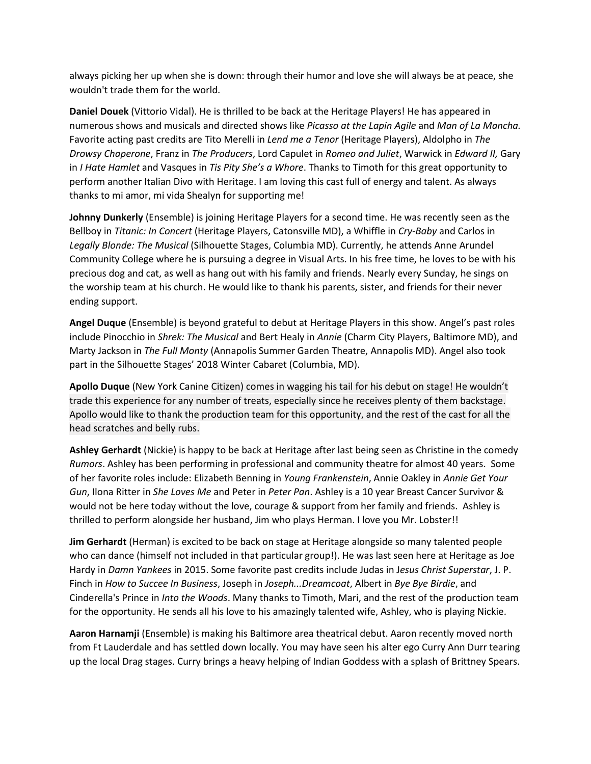always picking her up when she is down: through their humor and love she will always be at peace, she wouldn't trade them for the world.

**Daniel Douek** (Vittorio Vidal). He is thrilled to be back at the Heritage Players! He has appeared in numerous shows and musicals and directed shows like *Picasso at the Lapin Agile* and *Man of La Mancha.*  Favorite acting past credits are Tito Merelli in *Lend me a Tenor* (Heritage Players), Aldolpho in *The Drowsy Chaperone*, Franz in *The Producers*, Lord Capulet in *Romeo and Juliet*, Warwick in *Edward II,* Gary in *I Hate Hamlet* and Vasques in *Tis Pity She's a Whore*. Thanks to Timoth for this great opportunity to perform another Italian Divo with Heritage. I am loving this cast full of energy and talent. As always thanks to mi amor, mi vida Shealyn for supporting me!

**Johnny Dunkerly** (Ensemble) is joining Heritage Players for a second time. He was recently seen as the Bellboy in *Titanic: In Concert* (Heritage Players, Catonsville MD), a Whiffle in *Cry-Baby* and Carlos in *Legally Blonde: The Musical* (Silhouette Stages, Columbia MD). Currently, he attends Anne Arundel Community College where he is pursuing a degree in Visual Arts. In his free time, he loves to be with his precious dog and cat, as well as hang out with his family and friends. Nearly every Sunday, he sings on the worship team at his church. He would like to thank his parents, sister, and friends for their never ending support.

**Angel Duque** (Ensemble) is beyond grateful to debut at Heritage Players in this show. Angel's past roles include Pinocchio in *Shrek: The Musical* and Bert Healy in *Annie* (Charm City Players, Baltimore MD), and Marty Jackson in *The Full Monty* (Annapolis Summer Garden Theatre, Annapolis MD). Angel also took part in the Silhouette Stages' 2018 Winter Cabaret (Columbia, MD).

**Apollo Duque** (New York Canine Citizen) comes in wagging his tail for his debut on stage! He wouldn't trade this experience for any number of treats, especially since he receives plenty of them backstage. Apollo would like to thank the production team for this opportunity, and the rest of the cast for all the head scratches and belly rubs.

**Ashley Gerhardt** (Nickie) is happy to be back at Heritage after last being seen as Christine in the comedy *Rumors*. Ashley has been performing in professional and community theatre for almost 40 years. Some of her favorite roles include: Elizabeth Benning in *Young Frankenstein*, Annie Oakley in *Annie Get Your Gun*, Ilona Ritter in *She Loves Me* and Peter in *Peter Pan*. Ashley is a 10 year Breast Cancer Survivor & would not be here today without the love, courage & support from her family and friends. Ashley is thrilled to perform alongside her husband, Jim who plays Herman. I love you Mr. Lobster!!

**Jim Gerhardt** (Herman) is excited to be back on stage at Heritage alongside so many talented people who can dance (himself not included in that particular group!). He was last seen here at Heritage as Joe Hardy in *Damn Yankees* in 2015. Some favorite past credits include Judas in J*esus Christ Superstar*, J. P. Finch in *How to Succee In Business*, Joseph in *Joseph...Dreamcoat*, Albert in *Bye Bye Birdie*, and Cinderella's Prince in *Into the Woods*. Many thanks to Timoth, Mari, and the rest of the production team for the opportunity. He sends all his love to his amazingly talented wife, Ashley, who is playing Nickie.

**Aaron Harnamji** (Ensemble) is making his Baltimore area theatrical debut. Aaron recently moved north from Ft Lauderdale and has settled down locally. You may have seen his alter ego Curry Ann Durr tearing up the local Drag stages. Curry brings a heavy helping of Indian Goddess with a splash of Brittney Spears.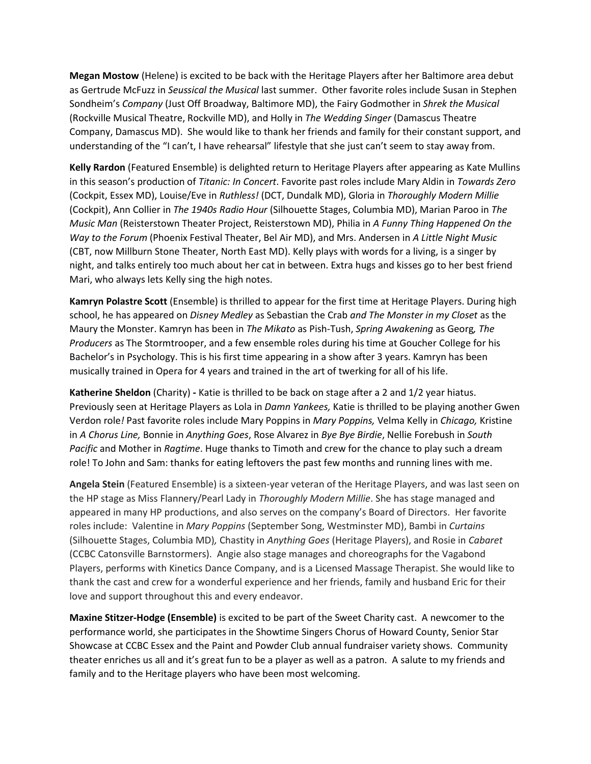**Megan Mostow** (Helene) is excited to be back with the Heritage Players after her Baltimore area debut as Gertrude McFuzz in *Seussical the Musical* last summer. Other favorite roles include Susan in Stephen Sondheim's *Company* (Just Off Broadway, Baltimore MD), the Fairy Godmother in *Shrek the Musical*  (Rockville Musical Theatre, Rockville MD), and Holly in *The Wedding Singer* (Damascus Theatre Company, Damascus MD). She would like to thank her friends and family for their constant support, and understanding of the "I can't, I have rehearsal" lifestyle that she just can't seem to stay away from.

**Kelly Rardon** (Featured Ensemble) is delighted return to Heritage Players after appearing as Kate Mullins in this season's production of *Titanic: In Concert*. Favorite past roles include Mary Aldin in *Towards Zero*  (Cockpit, Essex MD), Louise/Eve in *Ruthless!* (DCT, Dundalk MD), Gloria in *Thoroughly Modern Millie* (Cockpit), Ann Collier in *The 1940s Radio Hour* (Silhouette Stages, Columbia MD), Marian Paroo in *The Music Man* (Reisterstown Theater Project, Reisterstown MD), Philia in *A Funny Thing Happened On the Way to the Forum* (Phoenix Festival Theater, Bel Air MD), and Mrs. Andersen in *A Little Night Music* (CBT, now Millburn Stone Theater, North East MD). Kelly plays with words for a living, is a singer by night, and talks entirely too much about her cat in between. Extra hugs and kisses go to her best friend Mari, who always lets Kelly sing the high notes.

**Kamryn Polastre Scott** (Ensemble) is thrilled to appear for the first time at Heritage Players. During high school, he has appeared on *Disney Medley* as Sebastian the Crab *and The Monster in my Closet* as the Maury the Monster. Kamryn has been in *The Mikato* as Pish-Tush, *Spring Awakening* as Georg*, The Producers* as The Stormtrooper, and a few ensemble roles during his time at Goucher College for his Bachelor's in Psychology. This is his first time appearing in a show after 3 years. Kamryn has been musically trained in Opera for 4 years and trained in the art of twerking for all of his life.

**Katherine Sheldon** (Charity) **-** Katie is thrilled to be back on stage after a 2 and 1/2 year hiatus. Previously seen at Heritage Players as Lola in *Damn Yankees,* Katie is thrilled to be playing another Gwen Verdon role*!* Past favorite roles include Mary Poppins in *Mary Poppins,* Velma Kelly in *Chicago,* Kristine in *A Chorus Line,* Bonnie in *Anything Goes*, Rose Alvarez in *Bye Bye Birdie*, Nellie Forebush in *South Pacific* and Mother in *Ragtime*. Huge thanks to Timoth and crew for the chance to play such a dream role! To John and Sam: thanks for eating leftovers the past few months and running lines with me.

**Angela Stein** (Featured Ensemble) is a sixteen-year veteran of the Heritage Players, and was last seen on the HP stage as Miss Flannery/Pearl Lady in *Thoroughly Modern Millie*. She has stage managed and appeared in many HP productions, and also serves on the company's Board of Directors. Her favorite roles include: Valentine in *Mary Poppins* (September Song, Westminster MD), Bambi in *Curtains* (Silhouette Stages, Columbia MD)*,* Chastity in *Anything Goes* (Heritage Players), and Rosie in *Cabaret* (CCBC Catonsville Barnstormers). Angie also stage manages and choreographs for the Vagabond Players, performs with Kinetics Dance Company, and is a Licensed Massage Therapist. She would like to thank the cast and crew for a wonderful experience and her friends, family and husband Eric for their love and support throughout this and every endeavor.

**Maxine Stitzer-Hodge (Ensemble)** is excited to be part of the Sweet Charity cast. A newcomer to the performance world, she participates in the Showtime Singers Chorus of Howard County, Senior Star Showcase at CCBC Essex and the Paint and Powder Club annual fundraiser variety shows. Community theater enriches us all and it's great fun to be a player as well as a patron. A salute to my friends and family and to the Heritage players who have been most welcoming.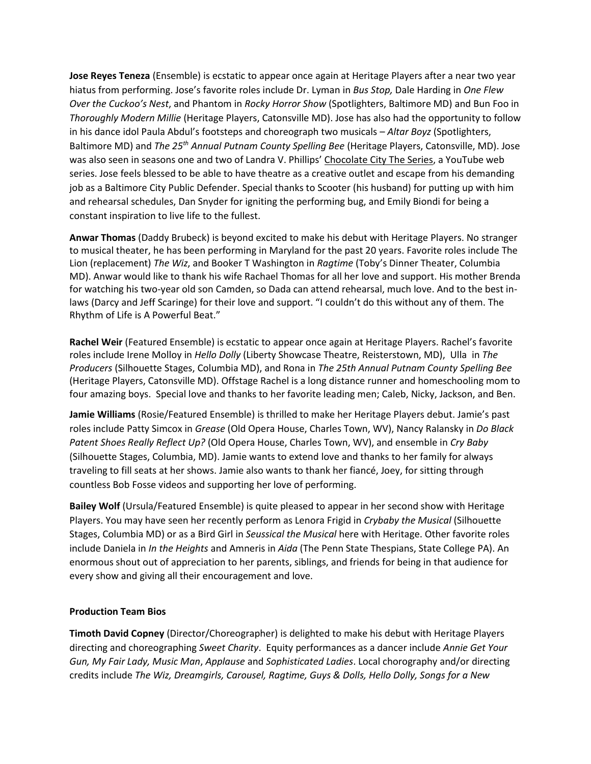**Jose Reyes Teneza** (Ensemble) is ecstatic to appear once again at Heritage Players after a near two year hiatus from performing. Jose's favorite roles include Dr. Lyman in *Bus Stop,* Dale Harding in *One Flew Over the Cuckoo's Nest*, and Phantom in *Rocky Horror Show* (Spotlighters, Baltimore MD) and Bun Foo in *Thoroughly Modern Millie* (Heritage Players, Catonsville MD). Jose has also had the opportunity to follow in his dance idol Paula Abdul's footsteps and choreograph two musicals – *Altar Boyz* (Spotlighters, Baltimore MD) and *The 25th Annual Putnam County Spelling Bee* (Heritage Players, Catonsville, MD). Jose was also seen in seasons one and two of Landra V. Phillips' Chocolate City The Series, a YouTube web series. Jose feels blessed to be able to have theatre as a creative outlet and escape from his demanding job as a Baltimore City Public Defender. Special thanks to Scooter (his husband) for putting up with him and rehearsal schedules, Dan Snyder for igniting the performing bug, and Emily Biondi for being a constant inspiration to live life to the fullest.

**Anwar Thomas** (Daddy Brubeck) is beyond excited to make his debut with Heritage Players. No stranger to musical theater, he has been performing in Maryland for the past 20 years. Favorite roles include The Lion (replacement) *The Wiz*, and Booker T Washington in *Ragtime* (Toby's Dinner Theater, Columbia MD). Anwar would like to thank his wife Rachael Thomas for all her love and support. His mother Brenda for watching his two-year old son Camden, so Dada can attend rehearsal, much love. And to the best inlaws (Darcy and Jeff Scaringe) for their love and support. "I couldn't do this without any of them. The Rhythm of Life is A Powerful Beat."

**Rachel Weir** (Featured Ensemble) is ecstatic to appear once again at Heritage Players. Rachel's favorite roles include Irene Molloy in *Hello Dolly* (Liberty Showcase Theatre, Reisterstown, MD), Ulla in *The Producers* (Silhouette Stages, Columbia MD), and Rona in *The 25th Annual Putnam County Spelling Bee* (Heritage Players, Catonsville MD). Offstage Rachel is a long distance runner and homeschooling mom to four amazing boys. Special love and thanks to her favorite leading men; Caleb, Nicky, Jackson, and Ben.

**Jamie Williams** (Rosie/Featured Ensemble) is thrilled to make her Heritage Players debut. Jamie's past roles include Patty Simcox in *Grease* (Old Opera House, Charles Town, WV), Nancy Ralansky in *Do Black Patent Shoes Really Reflect Up?* (Old Opera House, Charles Town, WV), and ensemble in *Cry Baby* (Silhouette Stages, Columbia, MD). Jamie wants to extend love and thanks to her family for always traveling to fill seats at her shows. Jamie also wants to thank her fiancé, Joey, for sitting through countless Bob Fosse videos and supporting her love of performing.

**Bailey Wolf** (Ursula/Featured Ensemble) is quite pleased to appear in her second show with Heritage Players. You may have seen her recently perform as Lenora Frigid in *Crybaby the Musical* (Silhouette Stages, Columbia MD) or as a Bird Girl in *Seussical the Musical* here with Heritage. Other favorite roles include Daniela in *In the Heights* and Amneris in *Aida* (The Penn State Thespians, State College PA). An enormous shout out of appreciation to her parents, siblings, and friends for being in that audience for every show and giving all their encouragement and love.

## **Production Team Bios**

**Timoth David Copney** (Director/Choreographer) is delighted to make his debut with Heritage Players directing and choreographing *Sweet Charity*. Equity performances as a dancer include *Annie Get Your Gun, My Fair Lady, Music Man*, *Applause* and *Sophisticated Ladies*. Local chorography and/or directing credits include *The Wiz, Dreamgirls, Carousel, Ragtime, Guys & Dolls, Hello Dolly, Songs for a New*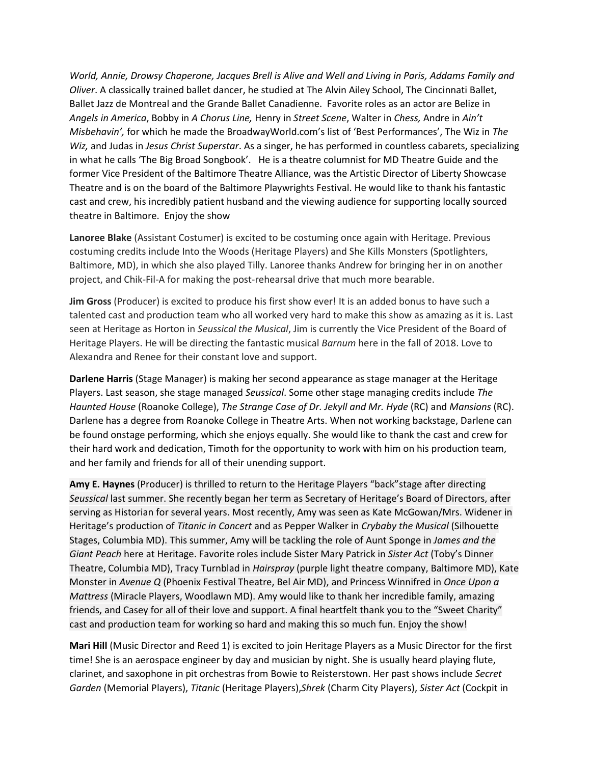*World, Annie, Drowsy Chaperone, Jacques Brell is Alive and Well and Living in Paris, Addams Family and Oliver*. A classically trained ballet dancer, he studied at The Alvin Ailey School, The Cincinnati Ballet, Ballet Jazz de Montreal and the Grande Ballet Canadienne. Favorite roles as an actor are Belize in *Angels in America*, Bobby in *A Chorus Line,* Henry in *Street Scene*, Walter in *Chess,* Andre in *Ain't Misbehavin',* for which he made the BroadwayWorld.com's list of 'Best Performances', The Wiz in *The Wiz,* and Judas in *Jesus Christ Superstar*. As a singer, he has performed in countless cabarets, specializing in what he calls 'The Big Broad Songbook'. He is a theatre columnist for MD Theatre Guide and the former Vice President of the Baltimore Theatre Alliance, was the Artistic Director of Liberty Showcase Theatre and is on the board of the Baltimore Playwrights Festival. He would like to thank his fantastic cast and crew, his incredibly patient husband and the viewing audience for supporting locally sourced theatre in Baltimore. Enjoy the show

**Lanoree Blake** (Assistant Costumer) is excited to be costuming once again with Heritage. Previous costuming credits include Into the Woods (Heritage Players) and She Kills Monsters (Spotlighters, Baltimore, MD), in which she also played Tilly. Lanoree thanks Andrew for bringing her in on another project, and Chik-Fil-A for making the post-rehearsal drive that much more bearable.

**Jim Gross** (Producer) is excited to produce his first show ever! It is an added bonus to have such a talented cast and production team who all worked very hard to make this show as amazing as it is. Last seen at Heritage as Horton in *Seussical the Musical*, Jim is currently the Vice President of the Board of Heritage Players. He will be directing the fantastic musical *Barnum* here in the fall of 2018. Love to Alexandra and Renee for their constant love and support.

**Darlene Harris** (Stage Manager) is making her second appearance as stage manager at the Heritage Players. Last season, she stage managed *Seussical*. Some other stage managing credits include *The Haunted House* (Roanoke College), *The Strange Case of Dr. Jekyll and Mr. Hyde* (RC) and *Mansions* (RC). Darlene has a degree from Roanoke College in Theatre Arts. When not working backstage, Darlene can be found onstage performing, which she enjoys equally. She would like to thank the cast and crew for their hard work and dedication, Timoth for the opportunity to work with him on his production team, and her family and friends for all of their unending support.

**Amy E. Haynes** (Producer) is thrilled to return to the Heritage Players "back"stage after directing *Seussical* last summer. She recently began her term as Secretary of Heritage's Board of Directors, after serving as Historian for several years. Most recently, Amy was seen as Kate McGowan/Mrs. Widener in Heritage's production of *Titanic in Concert* and as Pepper Walker in *Crybaby the Musical* (Silhouette Stages, Columbia MD). This summer, Amy will be tackling the role of Aunt Sponge in *James and the Giant Peach* here at Heritage. Favorite roles include Sister Mary Patrick in *Sister Act* (Toby's Dinner Theatre, Columbia MD), Tracy Turnblad in *Hairspray* (purple light theatre company, Baltimore MD), Kate Monster in *Avenue Q* (Phoenix Festival Theatre, Bel Air MD), and Princess Winnifred in *Once Upon a Mattress* (Miracle Players, Woodlawn MD). Amy would like to thank her incredible family, amazing friends, and Casey for all of their love and support. A final heartfelt thank you to the "Sweet Charity" cast and production team for working so hard and making this so much fun. Enjoy the show!

**Mari Hill** (Music Director and Reed 1) is excited to join Heritage Players as a Music Director for the first time! She is an aerospace engineer by day and musician by night. She is usually heard playing flute, clarinet, and saxophone in pit orchestras from Bowie to Reisterstown. Her past shows include *Secret Garden* (Memorial Players), *Titanic* (Heritage Players),*Shrek* (Charm City Players), *Sister Act* (Cockpit in